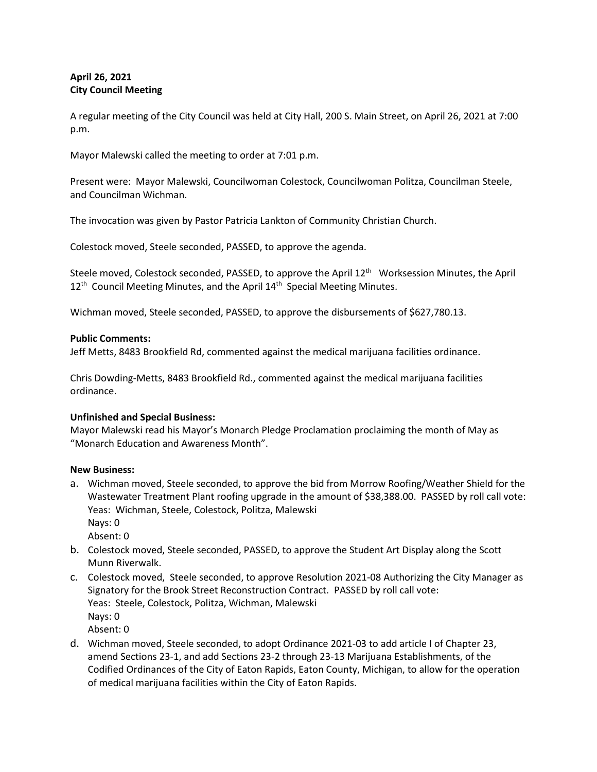# **April 26, 2021 City Council Meeting**

A regular meeting of the City Council was held at City Hall, 200 S. Main Street, on April 26, 2021 at 7:00 p.m.

Mayor Malewski called the meeting to order at 7:01 p.m.

Present were: Mayor Malewski, Councilwoman Colestock, Councilwoman Politza, Councilman Steele, and Councilman Wichman.

The invocation was given by Pastor Patricia Lankton of Community Christian Church.

Colestock moved, Steele seconded, PASSED, to approve the agenda.

Steele moved, Colestock seconded, PASSED, to approve the April 12<sup>th</sup> Worksession Minutes, the April 12<sup>th</sup> Council Meeting Minutes, and the April 14<sup>th</sup> Special Meeting Minutes.

Wichman moved, Steele seconded, PASSED, to approve the disbursements of \$627,780.13.

## **Public Comments:**

Jeff Metts, 8483 Brookfield Rd, commented against the medical marijuana facilities ordinance.

Chris Dowding-Metts, 8483 Brookfield Rd., commented against the medical marijuana facilities ordinance.

## **Unfinished and Special Business:**

Mayor Malewski read his Mayor's Monarch Pledge Proclamation proclaiming the month of May as "Monarch Education and Awareness Month".

## **New Business:**

a. Wichman moved, Steele seconded, to approve the bid from Morrow Roofing/Weather Shield for the Wastewater Treatment Plant roofing upgrade in the amount of \$38,388.00. PASSED by roll call vote: Yeas: Wichman, Steele, Colestock, Politza, Malewski Nays: 0

Absent: 0

- b. Colestock moved, Steele seconded, PASSED, to approve the Student Art Display along the Scott Munn Riverwalk.
- c. Colestock moved, Steele seconded, to approve Resolution 2021-08 Authorizing the City Manager as Signatory for the Brook Street Reconstruction Contract. PASSED by roll call vote: Yeas: Steele, Colestock, Politza, Wichman, Malewski Nays: 0 Absent: 0
- d. Wichman moved, Steele seconded, to adopt Ordinance 2021-03 to add article I of Chapter 23, amend Sections 23-1, and add Sections 23-2 through 23-13 Marijuana Establishments, of the Codified Ordinances of the City of Eaton Rapids, Eaton County, Michigan, to allow for the operation of medical marijuana facilities within the City of Eaton Rapids.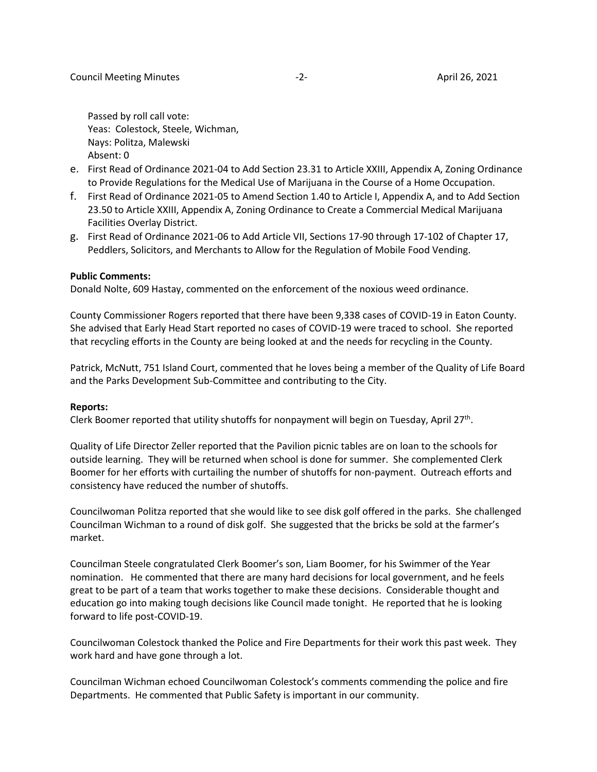Passed by roll call vote: Yeas: Colestock, Steele, Wichman, Nays: Politza, Malewski Absent: 0

- e. First Read of Ordinance 2021-04 to Add Section 23.31 to Article XXIII, Appendix A, Zoning Ordinance to Provide Regulations for the Medical Use of Marijuana in the Course of a Home Occupation.
- f. First Read of Ordinance 2021-05 to Amend Section 1.40 to Article I, Appendix A, and to Add Section 23.50 to Article XXIII, Appendix A, Zoning Ordinance to Create a Commercial Medical Marijuana Facilities Overlay District.
- g. First Read of Ordinance 2021-06 to Add Article VII, Sections 17-90 through 17-102 of Chapter 17, Peddlers, Solicitors, and Merchants to Allow for the Regulation of Mobile Food Vending.

#### **Public Comments:**

Donald Nolte, 609 Hastay, commented on the enforcement of the noxious weed ordinance.

County Commissioner Rogers reported that there have been 9,338 cases of COVID-19 in Eaton County. She advised that Early Head Start reported no cases of COVID-19 were traced to school. She reported that recycling efforts in the County are being looked at and the needs for recycling in the County.

Patrick, McNutt, 751 Island Court, commented that he loves being a member of the Quality of Life Board and the Parks Development Sub-Committee and contributing to the City.

#### **Reports:**

Clerk Boomer reported that utility shutoffs for nonpayment will begin on Tuesday, April  $27<sup>th</sup>$ .

Quality of Life Director Zeller reported that the Pavilion picnic tables are on loan to the schools for outside learning. They will be returned when school is done for summer. She complemented Clerk Boomer for her efforts with curtailing the number of shutoffs for non-payment. Outreach efforts and consistency have reduced the number of shutoffs.

Councilwoman Politza reported that she would like to see disk golf offered in the parks. She challenged Councilman Wichman to a round of disk golf. She suggested that the bricks be sold at the farmer's market.

Councilman Steele congratulated Clerk Boomer's son, Liam Boomer, for his Swimmer of the Year nomination. He commented that there are many hard decisions for local government, and he feels great to be part of a team that works together to make these decisions. Considerable thought and education go into making tough decisions like Council made tonight. He reported that he is looking forward to life post-COVID-19.

Councilwoman Colestock thanked the Police and Fire Departments for their work this past week. They work hard and have gone through a lot.

Councilman Wichman echoed Councilwoman Colestock's comments commending the police and fire Departments. He commented that Public Safety is important in our community.